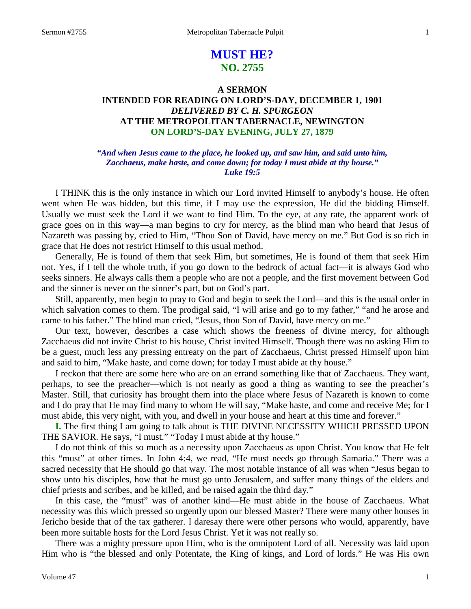# **MUST HE? NO. 2755**

# **A SERMON INTENDED FOR READING ON LORD'S-DAY, DECEMBER 1, 1901** *DELIVERED BY C. H. SPURGEON* **AT THE METROPOLITAN TABERNACLE, NEWINGTON ON LORD'S-DAY EVENING, JULY 27, 1879**

## *"And when Jesus came to the place, he looked up, and saw him, and said unto him, Zacchaeus, make haste, and come down; for today I must abide at thy house." Luke 19:5*

I THINK this is the only instance in which our Lord invited Himself to anybody's house. He often went when He was bidden, but this time, if I may use the expression, He did the bidding Himself. Usually we must seek the Lord if we want to find Him. To the eye, at any rate, the apparent work of grace goes on in this way—a man begins to cry for mercy, as the blind man who heard that Jesus of Nazareth was passing by, cried to Him, "Thou Son of David, have mercy on me." But God is so rich in grace that He does not restrict Himself to this usual method.

Generally, He is found of them that seek Him, but sometimes, He is found of them that seek Him not. Yes, if I tell the whole truth, if you go down to the bedrock of actual fact—it is always God who seeks sinners. He always calls them a people who are not a people, and the first movement between God and the sinner is never on the sinner's part, but on God's part.

Still, apparently, men begin to pray to God and begin to seek the Lord—and this is the usual order in which salvation comes to them. The prodigal said, "I will arise and go to my father," "and he arose and came to his father." The blind man cried, "Jesus, thou Son of David, have mercy on me."

Our text, however, describes a case which shows the freeness of divine mercy, for although Zacchaeus did not invite Christ to his house, Christ invited Himself. Though there was no asking Him to be a guest, much less any pressing entreaty on the part of Zacchaeus, Christ pressed Himself upon him and said to him, "Make haste, and come down; for today I must abide at thy house."

I reckon that there are some here who are on an errand something like that of Zacchaeus. They want, perhaps, to see the preacher—which is not nearly as good a thing as wanting to see the preacher's Master. Still, that curiosity has brought them into the place where Jesus of Nazareth is known to come and I do pray that He may find many to whom He will say, "Make haste, and come and receive Me; for I must abide, this very night, with you, and dwell in your house and heart at this time and forever."

**I.** The first thing I am going to talk about is THE DIVINE NECESSITY WHICH PRESSED UPON THE SAVIOR. He says, "I must." "Today I must abide at thy house."

I do not think of this so much as a necessity upon Zacchaeus as upon Christ. You know that He felt this "must" at other times. In John 4:4, we read, "He must needs go through Samaria." There was a sacred necessity that He should go that way. The most notable instance of all was when "Jesus began to show unto his disciples, how that he must go unto Jerusalem, and suffer many things of the elders and chief priests and scribes, and be killed, and be raised again the third day."

In this case, the "must" was of another kind—He must abide in the house of Zacchaeus. What necessity was this which pressed so urgently upon our blessed Master? There were many other houses in Jericho beside that of the tax gatherer. I daresay there were other persons who would, apparently, have been more suitable hosts for the Lord Jesus Christ. Yet it was not really so.

There was a mighty pressure upon Him, who is the omnipotent Lord of all. Necessity was laid upon Him who is "the blessed and only Potentate, the King of kings, and Lord of lords." He was His own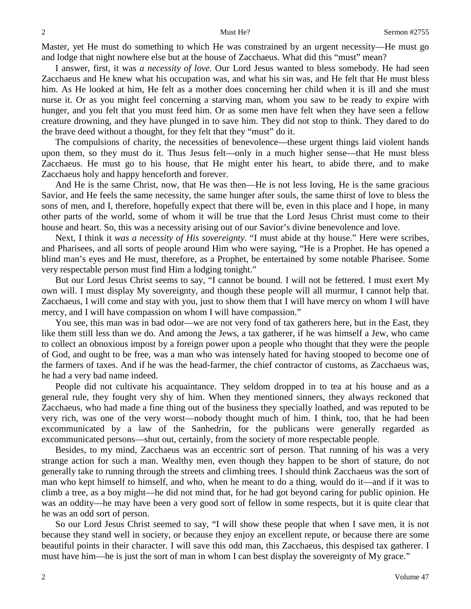Master, yet He must do something to which He was constrained by an urgent necessity—He must go and lodge that night nowhere else but at the house of Zacchaeus. What did this "must" mean?

I answer, first, it was *a necessity of love.* Our Lord Jesus wanted to bless somebody. He had seen Zacchaeus and He knew what his occupation was, and what his sin was, and He felt that He must bless him. As He looked at him, He felt as a mother does concerning her child when it is ill and she must nurse it. Or as you might feel concerning a starving man, whom you saw to be ready to expire with hunger, and you felt that you must feed him. Or as some men have felt when they have seen a fellow creature drowning, and they have plunged in to save him. They did not stop to think. They dared to do the brave deed without a thought, for they felt that they "must" do it.

The compulsions of charity, the necessities of benevolence—these urgent things laid violent hands upon them, so they must do it. Thus Jesus felt—only in a much higher sense—that He must bless Zacchaeus. He must go to his house, that He might enter his heart, to abide there, and to make Zacchaeus holy and happy henceforth and forever.

And He is the same Christ, now, that He was then—He is not less loving, He is the same gracious Savior, and He feels the same necessity, the same hunger after souls, the same thirst of love to bless the sons of men, and I, therefore, hopefully expect that there will be, even in this place and I hope, in many other parts of the world, some of whom it will be true that the Lord Jesus Christ must come to their house and heart. So, this was a necessity arising out of our Savior's divine benevolence and love.

Next, I think it *was a necessity of His sovereignty.* "I must abide at thy house." Here were scribes, and Pharisees, and all sorts of people around Him who were saying, "He is a Prophet. He has opened a blind man's eyes and He must, therefore, as a Prophet, be entertained by some notable Pharisee. Some very respectable person must find Him a lodging tonight."

But our Lord Jesus Christ seems to say, "I cannot be bound. I will not be fettered. I must exert My own will. I must display My sovereignty, and though these people will all murmur, I cannot help that. Zacchaeus, I will come and stay with you, just to show them that I will have mercy on whom I will have mercy, and I will have compassion on whom I will have compassion."

You see, this man was in bad odor—we are not very fond of tax gatherers here, but in the East, they like them still less than we do. And among the Jews, a tax gatherer, if he was himself a Jew, who came to collect an obnoxious impost by a foreign power upon a people who thought that they were the people of God, and ought to be free, was a man who was intensely hated for having stooped to become one of the farmers of taxes. And if he was the head-farmer, the chief contractor of customs, as Zacchaeus was, he had a very bad name indeed.

People did not cultivate his acquaintance. They seldom dropped in to tea at his house and as a general rule, they fought very shy of him. When they mentioned sinners, they always reckoned that Zacchaeus, who had made a fine thing out of the business they specially loathed, and was reputed to be very rich, was one of the very worst—nobody thought much of him. I think, too, that he had been excommunicated by a law of the Sanhedrin, for the publicans were generally regarded as excommunicated persons—shut out, certainly, from the society of more respectable people.

Besides, to my mind, Zacchaeus was an eccentric sort of person. That running of his was a very strange action for such a man. Wealthy men, even though they happen to be short of stature, do not generally take to running through the streets and climbing trees. I should think Zacchaeus was the sort of man who kept himself to himself, and who, when he meant to do a thing, would do it—and if it was to climb a tree, as a boy might—he did not mind that, for he had got beyond caring for public opinion. He was an oddity—he may have been a very good sort of fellow in some respects, but it is quite clear that he was an odd sort of person.

So our Lord Jesus Christ seemed to say, "I will show these people that when I save men, it is not because they stand well in society, or because they enjoy an excellent repute, or because there are some beautiful points in their character. I will save this odd man, this Zacchaeus, this despised tax gatherer. I must have him—he is just the sort of man in whom I can best display the sovereignty of My grace."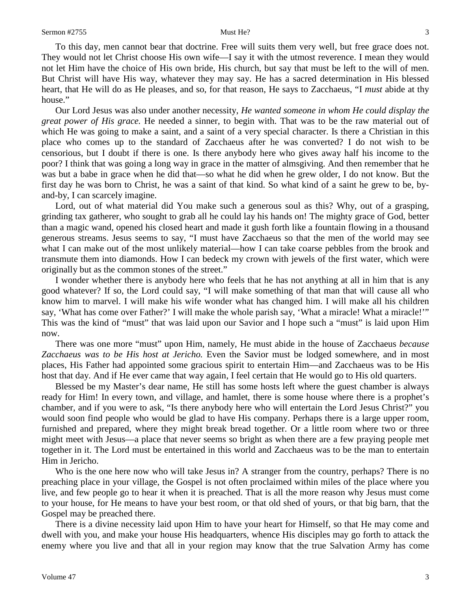house."

To this day, men cannot bear that doctrine. Free will suits them very well, but free grace does not. They would not let Christ choose His own wife—I say it with the utmost reverence. I mean they would not let Him have the choice of His own bride, His church, but say that must be left to the will of men. But Christ will have His way, whatever they may say. He has a sacred determination in His blessed heart, that He will do as He pleases, and so, for that reason, He says to Zacchaeus, "I *must* abide at thy

Our Lord Jesus was also under another necessity, *He wanted someone in whom He could display the great power of His grace.* He needed a sinner, to begin with. That was to be the raw material out of which He was going to make a saint, and a saint of a very special character. Is there a Christian in this place who comes up to the standard of Zacchaeus after he was converted? I do not wish to be censorious, but I doubt if there is one. Is there anybody here who gives away half his income to the poor? I think that was going a long way in grace in the matter of almsgiving. And then remember that he was but a babe in grace when he did that—so what he did when he grew older, I do not know. But the first day he was born to Christ, he was a saint of that kind. So what kind of a saint he grew to be, byand-by, I can scarcely imagine.

Lord, out of what material did You make such a generous soul as this? Why, out of a grasping, grinding tax gatherer, who sought to grab all he could lay his hands on! The mighty grace of God, better than a magic wand, opened his closed heart and made it gush forth like a fountain flowing in a thousand generous streams. Jesus seems to say, "I must have Zacchaeus so that the men of the world may see what I can make out of the most unlikely material—how I can take coarse pebbles from the brook and transmute them into diamonds. How I can bedeck my crown with jewels of the first water, which were originally but as the common stones of the street."

I wonder whether there is anybody here who feels that he has not anything at all in him that is any good whatever? If so, the Lord could say, "I will make something of that man that will cause all who know him to marvel. I will make his wife wonder what has changed him. I will make all his children say, 'What has come over Father?' I will make the whole parish say, 'What a miracle! What a miracle!'" This was the kind of "must" that was laid upon our Savior and I hope such a "must" is laid upon Him now.

There was one more "must" upon Him, namely, He must abide in the house of Zacchaeus *because*  Zacchaeus was to be His host at Jericho. Even the Savior must be lodged somewhere, and in most places, His Father had appointed some gracious spirit to entertain Him—and Zacchaeus was to be His host that day. And if He ever came that way again, I feel certain that He would go to His old quarters.

Blessed be my Master's dear name, He still has some hosts left where the guest chamber is always ready for Him! In every town, and village, and hamlet, there is some house where there is a prophet's chamber, and if you were to ask, "Is there anybody here who will entertain the Lord Jesus Christ?" you would soon find people who would be glad to have His company. Perhaps there is a large upper room, furnished and prepared, where they might break bread together. Or a little room where two or three might meet with Jesus—a place that never seems so bright as when there are a few praying people met together in it. The Lord must be entertained in this world and Zacchaeus was to be the man to entertain Him in Jericho.

Who is the one here now who will take Jesus in? A stranger from the country, perhaps? There is no preaching place in your village, the Gospel is not often proclaimed within miles of the place where you live, and few people go to hear it when it is preached. That is all the more reason why Jesus must come to your house, for He means to have your best room, or that old shed of yours, or that big barn, that the Gospel may be preached there.

There is a divine necessity laid upon Him to have your heart for Himself, so that He may come and dwell with you, and make your house His headquarters, whence His disciples may go forth to attack the enemy where you live and that all in your region may know that the true Salvation Army has come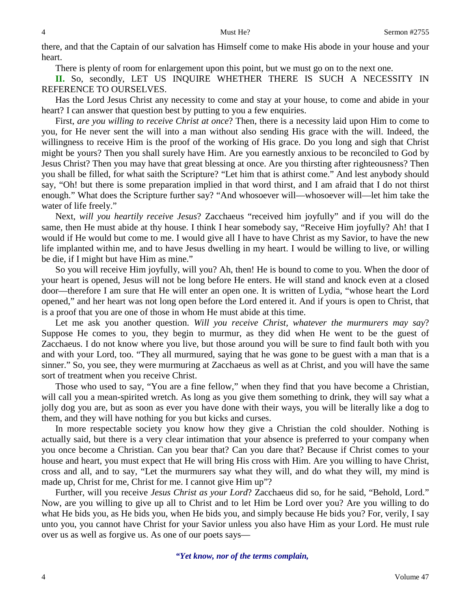there, and that the Captain of our salvation has Himself come to make His abode in your house and your heart.

There is plenty of room for enlargement upon this point, but we must go on to the next one.

**II.** So, secondly, LET US INQUIRE WHETHER THERE IS SUCH A NECESSITY IN REFERENCE TO OURSELVES.

Has the Lord Jesus Christ any necessity to come and stay at your house, to come and abide in your heart? I can answer that question best by putting to you a few enquiries.

First, *are you willing to receive Christ at once*? Then, there is a necessity laid upon Him to come to you, for He never sent the will into a man without also sending His grace with the will. Indeed, the willingness to receive Him is the proof of the working of His grace. Do you long and sigh that Christ might be yours? Then you shall surely have Him. Are you earnestly anxious to be reconciled to God by Jesus Christ? Then you may have that great blessing at once. Are you thirsting after righteousness? Then you shall be filled, for what saith the Scripture? "Let him that is athirst come." And lest anybody should say, "Oh! but there is some preparation implied in that word thirst, and I am afraid that I do not thirst enough." What does the Scripture further say? "And whosoever will—whosoever will—let him take the water of life freely."

Next, *will you heartily receive Jesus*? Zacchaeus "received him joyfully" and if you will do the same, then He must abide at thy house. I think I hear somebody say, "Receive Him joyfully? Ah! that I would if He would but come to me. I would give all I have to have Christ as my Savior, to have the new life implanted within me, and to have Jesus dwelling in my heart. I would be willing to live, or willing be die, if I might but have Him as mine."

So you will receive Him joyfully, will you? Ah, then! He is bound to come to you. When the door of your heart is opened, Jesus will not be long before He enters. He will stand and knock even at a closed door—therefore I am sure that He will enter an open one. It is written of Lydia, "whose heart the Lord opened," and her heart was not long open before the Lord entered it. And if yours is open to Christ, that is a proof that you are one of those in whom He must abide at this time.

Let me ask you another question. *Will you receive Christ, whatever the murmurers may say*? Suppose He comes to you, they begin to murmur, as they did when He went to be the guest of Zacchaeus. I do not know where you live, but those around you will be sure to find fault both with you and with your Lord, too. "They all murmured, saying that he was gone to be guest with a man that is a sinner." So, you see, they were murmuring at Zacchaeus as well as at Christ, and you will have the same sort of treatment when you receive Christ.

Those who used to say, "You are a fine fellow," when they find that you have become a Christian, will call you a mean-spirited wretch. As long as you give them something to drink, they will say what a jolly dog you are, but as soon as ever you have done with their ways, you will be literally like a dog to them, and they will have nothing for you but kicks and curses.

In more respectable society you know how they give a Christian the cold shoulder. Nothing is actually said, but there is a very clear intimation that your absence is preferred to your company when you once become a Christian. Can you bear that? Can you dare that? Because if Christ comes to your house and heart, you must expect that He will bring His cross with Him. Are you willing to have Christ, cross and all, and to say, "Let the murmurers say what they will, and do what they will, my mind is made up, Christ for me, Christ for me. I cannot give Him up"?

Further, will you receive *Jesus Christ as your Lord*? Zacchaeus did so, for he said, "Behold*,* Lord." Now, are you willing to give up all to Christ and to let Him be Lord over you? Are you willing to do what He bids you, as He bids you, when He bids you, and simply because He bids you? For, verily, I say unto you, you cannot have Christ for your Savior unless you also have Him as your Lord. He must rule over us as well as forgive us. As one of our poets says—

*"Yet know, nor of the terms complain,*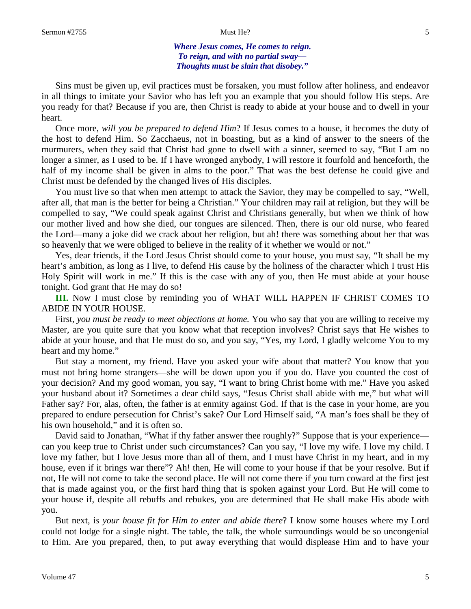*Where Jesus comes, He comes to reign. To reign, and with no partial sway— Thoughts must be slain that disobey."*

Sins must be given up, evil practices must be forsaken, you must follow after holiness, and endeavor in all things to imitate your Savior who has left you an example that you should follow His steps. Are you ready for that? Because if you are, then Christ is ready to abide at your house and to dwell in your heart.

Once more, *will you be prepared to defend Him*? If Jesus comes to a house, it becomes the duty of the host to defend Him. So Zacchaeus, not in boasting, but as a kind of answer to the sneers of the murmurers, when they said that Christ had gone to dwell with a sinner, seemed to say, "But I am no longer a sinner, as I used to be. If I have wronged anybody, I will restore it fourfold and henceforth, the half of my income shall be given in alms to the poor." That was the best defense he could give and Christ must be defended by the changed lives of His disciples.

You must live so that when men attempt to attack the Savior, they may be compelled to say, "Well, after all, that man is the better for being a Christian." Your children may rail at religion, but they will be compelled to say, "We could speak against Christ and Christians generally, but when we think of how our mother lived and how she died, our tongues are silenced. Then, there is our old nurse, who feared the Lord—many a joke did we crack about her religion, but ah! there was something about her that was so heavenly that we were obliged to believe in the reality of it whether we would or not."

Yes, dear friends, if the Lord Jesus Christ should come to your house, you must say, "It shall be my heart's ambition, as long as I live, to defend His cause by the holiness of the character which I trust His Holy Spirit will work in me." If this is the case with any of you, then He must abide at your house tonight. God grant that He may do so!

**III.** Now I must close by reminding you of WHAT WILL HAPPEN IF CHRIST COMES TO ABIDE IN YOUR HOUSE.

First, *you must be ready to meet objections at home.* You who say that you are willing to receive my Master, are you quite sure that you know what that reception involves? Christ says that He wishes to abide at your house, and that He must do so, and you say, "Yes, my Lord, I gladly welcome You to my heart and my home."

But stay a moment, my friend. Have you asked your wife about that matter? You know that you must not bring home strangers—she will be down upon you if you do. Have you counted the cost of your decision? And my good woman, you say, "I want to bring Christ home with me." Have you asked your husband about it? Sometimes a dear child says, "Jesus Christ shall abide with me," but what will Father say? For, alas, often, the father is at enmity against God. If that is the case in your home, are you prepared to endure persecution for Christ's sake? Our Lord Himself said, "A man's foes shall be they of his own household," and it is often so.

David said to Jonathan, "What if thy father answer thee roughly?" Suppose that is your experience can you keep true to Christ under such circumstances? Can you say, "I love my wife. I love my child. I love my father, but I love Jesus more than all of them, and I must have Christ in my heart, and in my house, even if it brings war there"? Ah! then, He will come to your house if that be your resolve. But if not, He will not come to take the second place. He will not come there if you turn coward at the first jest that is made against you, or the first hard thing that is spoken against your Lord. But He will come to your house if, despite all rebuffs and rebukes, you are determined that He shall make His abode with you.

But next, i*s your house fit for Him to enter and abide there*? I know some houses where my Lord could not lodge for a single night. The table, the talk, the whole surroundings would be so uncongenial to Him. Are you prepared, then, to put away everything that would displease Him and to have your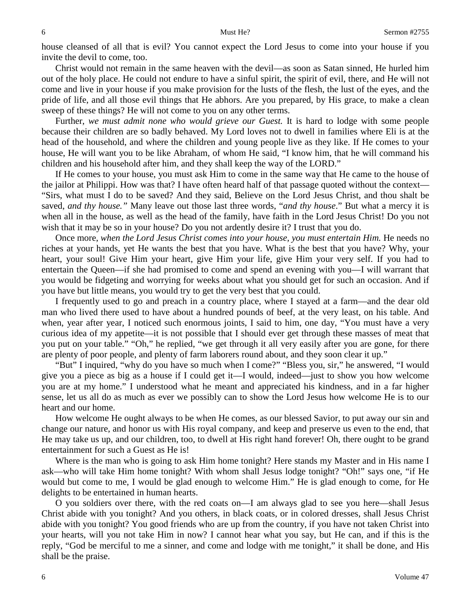house cleansed of all that is evil? You cannot expect the Lord Jesus to come into your house if you invite the devil to come, too.

Christ would not remain in the same heaven with the devil—as soon as Satan sinned, He hurled him out of the holy place. He could not endure to have a sinful spirit, the spirit of evil, there, and He will not come and live in your house if you make provision for the lusts of the flesh, the lust of the eyes, and the pride of life, and all those evil things that He abhors. Are you prepared, by His grace, to make a clean sweep of these things? He will not come to you on any other terms.

Further, *we must admit none who would grieve our Guest.* It is hard to lodge with some people because their children are so badly behaved. My Lord loves not to dwell in families where Eli is at the head of the household, and where the children and young people live as they like. If He comes to your house, He will want you to be like Abraham, of whom He said, "I know him, that he will command his children and his household after him, and they shall keep the way of the LORD."

If He comes to your house, you must ask Him to come in the same way that He came to the house of the jailor at Philippi. How was that? I have often heard half of that passage quoted without the context— "Sirs, what must I do to be saved? And they said, Believe on the Lord Jesus Christ, and thou shalt be saved, *and thy house."* Many leave out those last three words, "*and thy house*." But what a mercy it is when all in the house, as well as the head of the family, have faith in the Lord Jesus Christ! Do you not wish that it may be so in your house? Do you not ardently desire it? I trust that you do.

Once more, *when the Lord Jesus Christ comes into your house, you must entertain Him.* He needs no riches at your hands, yet He wants the best that you have. What is the best that you have? Why, your heart, your soul! Give Him your heart, give Him your life, give Him your very self. If you had to entertain the Queen—if she had promised to come and spend an evening with you—I will warrant that you would be fidgeting and worrying for weeks about what you should get for such an occasion. And if you have but little means, you would try to get the very best that you could.

I frequently used to go and preach in a country place, where I stayed at a farm—and the dear old man who lived there used to have about a hundred pounds of beef, at the very least, on his table. And when, year after year, I noticed such enormous joints, I said to him, one day, "You must have a very curious idea of my appetite—it is not possible that I should ever get through these masses of meat that you put on your table." "Oh," he replied, "we get through it all very easily after you are gone, for there are plenty of poor people, and plenty of farm laborers round about, and they soon clear it up."

"But" I inquired, "why do you have so much when I come?" "Bless you, sir," he answered, "I would give you a piece as big as a house if I could get it—I would, indeed—just to show you how welcome you are at my home." I understood what he meant and appreciated his kindness, and in a far higher sense, let us all do as much as ever we possibly can to show the Lord Jesus how welcome He is to our heart and our home.

How welcome He ought always to be when He comes, as our blessed Savior, to put away our sin and change our nature, and honor us with His royal company, and keep and preserve us even to the end, that He may take us up, and our children, too, to dwell at His right hand forever! Oh, there ought to be grand entertainment for such a Guest as He is!

Where is the man who is going to ask Him home tonight? Here stands my Master and in His name I ask—who will take Him home tonight? With whom shall Jesus lodge tonight? "Oh!" says one, "if He would but come to me, I would be glad enough to welcome Him." He is glad enough to come, for He delights to be entertained in human hearts.

O you soldiers over there, with the red coats on—I am always glad to see you here—shall Jesus Christ abide with you tonight? And you others, in black coats, or in colored dresses, shall Jesus Christ abide with you tonight? You good friends who are up from the country, if you have not taken Christ into your hearts, will you not take Him in now? I cannot hear what you say, but He can, and if this is the reply, "God be merciful to me a sinner, and come and lodge with me tonight," it shall be done, and His shall be the praise.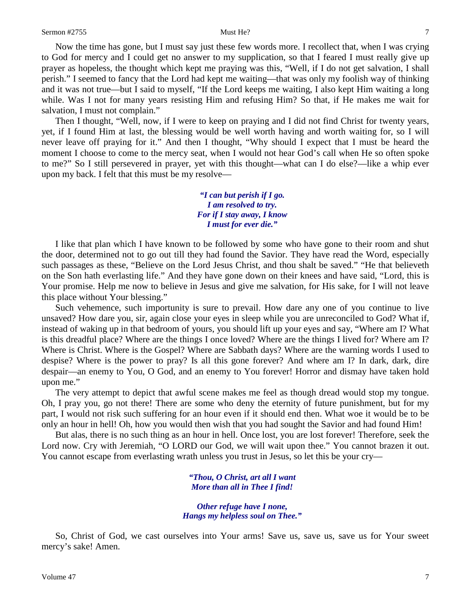Now the time has gone, but I must say just these few words more. I recollect that, when I was crying to God for mercy and I could get no answer to my supplication, so that I feared I must really give up prayer as hopeless, the thought which kept me praying was this, "Well, if I do not get salvation, I shall perish." I seemed to fancy that the Lord had kept me waiting—that was only my foolish way of thinking and it was not true—but I said to myself, "If the Lord keeps me waiting, I also kept Him waiting a long while. Was I not for many years resisting Him and refusing Him? So that, if He makes me wait for salvation, I must not complain."

Then I thought, "Well, now, if I were to keep on praying and I did not find Christ for twenty years, yet, if I found Him at last, the blessing would be well worth having and worth waiting for, so I will never leave off praying for it." And then I thought, "Why should I expect that I must be heard the moment I choose to come to the mercy seat, when I would not hear God's call when He so often spoke to me?" So I still persevered in prayer, yet with this thought—what can I do else?—like a whip ever upon my back. I felt that this must be my resolve—

> *"I can but perish if I go. I am resolved to try. For if I stay away, I know I must for ever die."*

I like that plan which I have known to be followed by some who have gone to their room and shut the door, determined not to go out till they had found the Savior. They have read the Word, especially such passages as these, "Believe on the Lord Jesus Christ, and thou shalt be saved." "He that believeth on the Son hath everlasting life." And they have gone down on their knees and have said, "Lord, this is Your promise. Help me now to believe in Jesus and give me salvation, for His sake, for I will not leave this place without Your blessing."

Such vehemence, such importunity is sure to prevail. How dare any one of you continue to live unsaved? How dare you, sir, again close your eyes in sleep while you are unreconciled to God? What if, instead of waking up in that bedroom of yours, you should lift up your eyes and say, "Where am I? What is this dreadful place? Where are the things I once loved? Where are the things I lived for? Where am I? Where is Christ. Where is the Gospel? Where are Sabbath days? Where are the warning words I used to despise? Where is the power to pray? Is all this gone forever? And where am I? In dark, dark, dire despair—an enemy to You, O God, and an enemy to You forever! Horror and dismay have taken hold upon me."

The very attempt to depict that awful scene makes me feel as though dread would stop my tongue. Oh, I pray you, go not there! There are some who deny the eternity of future punishment, but for my part, I would not risk such suffering for an hour even if it should end then. What woe it would be to be only an hour in hell! Oh, how you would then wish that you had sought the Savior and had found Him!

But alas, there is no such thing as an hour in hell. Once lost, you are lost forever! Therefore, seek the Lord now. Cry with Jeremiah, "O LORD our God, we will wait upon thee." You cannot brazen it out. You cannot escape from everlasting wrath unless you trust in Jesus, so let this be your cry—

> *"Thou, O Christ, art all I want More than all in Thee I find!*

*Other refuge have I none, Hangs my helpless soul on Thee."*

So, Christ of God, we cast ourselves into Your arms! Save us, save us, save us for Your sweet mercy's sake! Amen.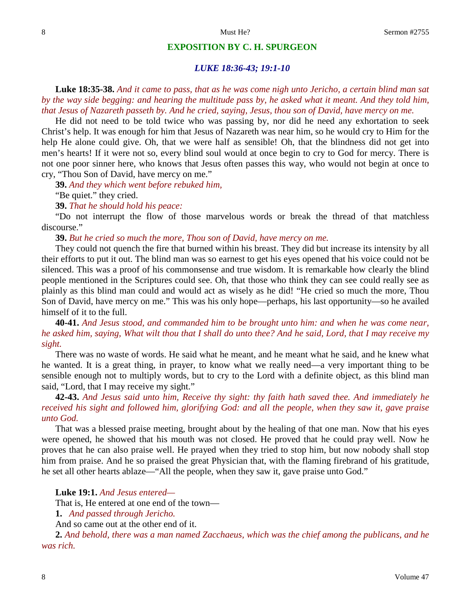### **EXPOSITION BY C. H. SPURGEON**

### *LUKE 18:36-43; 19:1-10*

**Luke 18:35-38.** *And it came to pass, that as he was come nigh unto Jericho, a certain blind man sat by the way side begging: and hearing the multitude pass by, he asked what it meant. And they told him, that Jesus of Nazareth passeth by. And he cried, saying, Jesus, thou son of David, have mercy on me.*

He did not need to be told twice who was passing by, nor did he need any exhortation to seek Christ's help. It was enough for him that Jesus of Nazareth was near him, so he would cry to Him for the help He alone could give. Oh, that we were half as sensible! Oh, that the blindness did not get into men's hearts! If it were not so, every blind soul would at once begin to cry to God for mercy. There is not one poor sinner here, who knows that Jesus often passes this way, who would not begin at once to cry, "Thou Son of David, have mercy on me."

**39.** *And they which went before rebuked him,*

"Be quiet." they cried.

**39.** *That he should hold his peace:*

"Do not interrupt the flow of those marvelous words or break the thread of that matchless discourse."

**39.** *But he cried so much the more, Thou son of David, have mercy on me.*

They could not quench the fire that burned within his breast. They did but increase its intensity by all their efforts to put it out. The blind man was so earnest to get his eyes opened that his voice could not be silenced. This was a proof of his commonsense and true wisdom. It is remarkable how clearly the blind people mentioned in the Scriptures could see. Oh, that those who think they can see could really see as plainly as this blind man could and would act as wisely as he did! "He cried so much the more, Thou Son of David, have mercy on me." This was his only hope—perhaps, his last opportunity—so he availed himself of it to the full.

**40-41.** *And Jesus stood, and commanded him to be brought unto him: and when he was come near, he asked him, saying, What wilt thou that I shall do unto thee? And he said, Lord, that I may receive my sight.*

There was no waste of words. He said what he meant, and he meant what he said, and he knew what he wanted. It is a great thing, in prayer, to know what we really need—a very important thing to be sensible enough not to multiply words, but to cry to the Lord with a definite object, as this blind man said, "Lord, that I may receive my sight."

**42-43.** *And Jesus said unto him, Receive thy sight: thy faith hath saved thee. And immediately he received his sight and followed him, glorifying God: and all the people, when they saw it, gave praise unto God.* 

That was a blessed praise meeting, brought about by the healing of that one man. Now that his eyes were opened, he showed that his mouth was not closed. He proved that he could pray well. Now he proves that he can also praise well. He prayed when they tried to stop him, but now nobody shall stop him from praise. And he so praised the great Physician that, with the flaming firebrand of his gratitude, he set all other hearts ablaze—"All the people, when they saw it, gave praise unto God."

**Luke 19:1.** *And Jesus entered—*

That is, He entered at one end of the town—

**1.** *And passed through Jericho.* 

And so came out at the other end of it.

**2.** *And behold, there was a man named Zacchaeus, which was the chief among the publicans, and he was rich.*